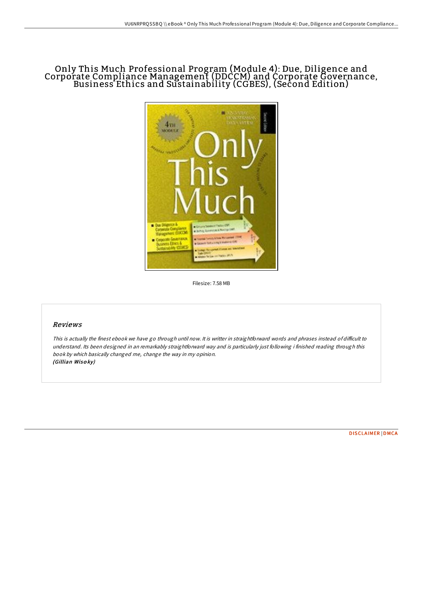# Only This Much Professional Program (Module 4): Due, Diligence and Corporate Compliance Management (DDCCM) and Corporate Governance, Business Ethics and Sustainability (CGBES), (Second Edition)



Filesize: 7.58 MB

## Reviews

This is actually the finest ebook we have go through until now. It is writter in straightforward words and phrases instead of difficult to understand. Its been designed in an remarkably straightforward way and is particularly just following i finished reading through this book by which basically changed me, change the way in my opinion. (Gillian Wiso ky)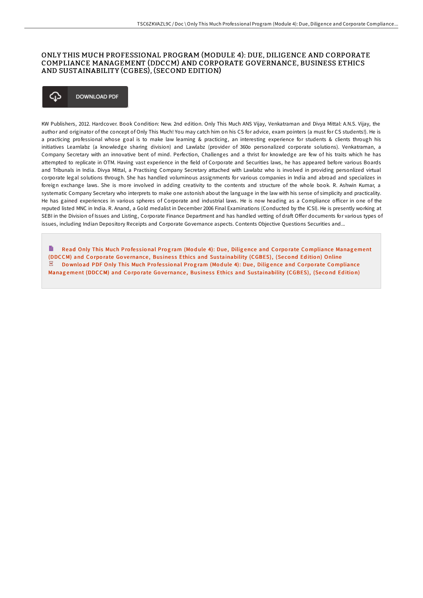## ONLY THIS MUCH PROFESSIONAL PROGRAM (MODULE 4): DUE, DILIGENCE AND CORPORATE COMPLIANCE MANAGEMENT (DDCCM) AND CORPORATE GOVERNANCE, BUSINESS ETHICS AND SUSTAINABILITY (CGBES), (SECOND EDITION)

#### **DOWNLOAD PDF** ረጉ

KW Publishers, 2012. Hardcover. Book Condition: New. 2nd edition. Only This Much ANS Vijay, Venkatraman and Divya Mittal: A.N.S. Vijay, the author and originator of the concept of Only This Much! You may catch him on his CS for advice, exam pointers (a must for CS students!). He is a practicing professional whose goal is to make law learning & practicing, an interesting experience for students & clients through his initiatives Learnlabz (a knowledge sharing division) and Lawlabz (provider of 360o personalized corporate solutions). Venkatraman, a Company Secretary with an innovative bent of mind. Perfection, Challenges and a thrist for knowledge are few of his traits which he has attempted to replicate in OTM. Having vast experience in the field of Corporate and Securities laws, he has appeared before various Boards and Tribunals in India. Divya Mittal, a Practising Company Secretary attached with Lawlabz who is involved in providing personlized virtual corporate legal solutions through. She has handled voluminous assignments for various companies in India and abroad and specializes in foreign exchange laws. She is more involved in adding creativity to the contents and structure of the whole book. R. Ashwin Kumar, a systematic Company Secretary who interprets to make one astonish about the language in the law with his sense of simplicity and practicality. He has gained experiences in various spheres of Corporate and industrial laws. He is now heading as a Compliance officer in one of the reputed listed MNC in India. R. Anand, a Gold medalist in December 2006 Final Examinations (Conducted by the ICSI). He is presently working at SEBI in the Division of Issues and Listing, Corporate Finance Department and has handled vetting of draft Offer documents for various types of issues, including Indian Depository Receipts and Corporate Governance aspects. Contents Objective Questions Securities and...

B Read Only This Much Professional Program (Module 4): Due, Diligence and Corporate Compliance Management (DDCCM) and Corporate Governance, Business Ethics and Sus[tainability](http://almighty24.tech/only-this-much-professional-program-module-4-due.html) (CGBES), (Second Edition) Online PDF Download PDF Only This Much Professional Program (Module 4): Due, Diligence and Corporate Compliance Management (DDCCM) and Corporate Governance, Business Ethics and Sus[tainability](http://almighty24.tech/only-this-much-professional-program-module-4-due.html) (CGBES), (Second Edition)